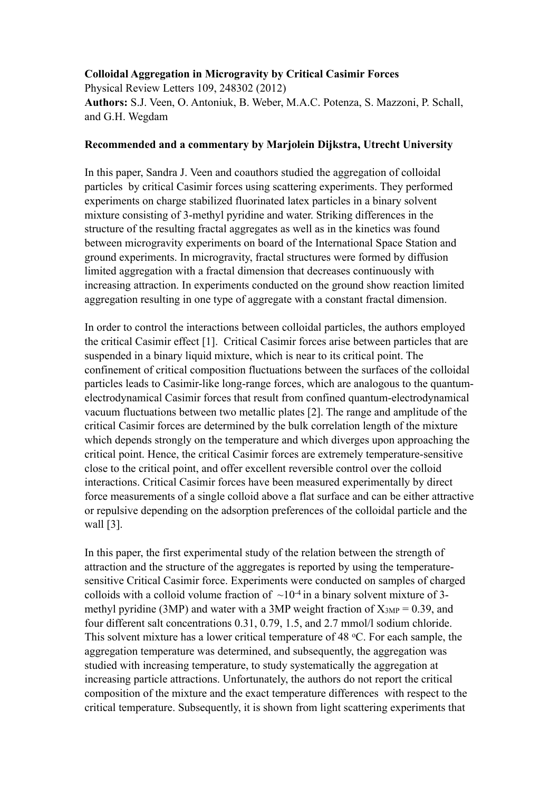## **Colloidal Aggregation in Microgravity by Critical Casimir Forces**

Physical Review Letters 109, 248302 (2012) **Authors:** S.J. Veen, O. Antoniuk, B. Weber, M.A.C. Potenza, S. Mazzoni, P. Schall, and G.H. Wegdam

## **Recommended and a commentary by Marjolein Dijkstra, Utrecht University**

In this paper, Sandra J. Veen and coauthors studied the aggregation of colloidal particles by critical Casimir forces using scattering experiments. They performed experiments on charge stabilized fluorinated latex particles in a binary solvent mixture consisting of 3-methyl pyridine and water. Striking differences in the structure of the resulting fractal aggregates as well as in the kinetics was found between microgravity experiments on board of the International Space Station and ground experiments. In microgravity, fractal structures were formed by diffusion limited aggregation with a fractal dimension that decreases continuously with increasing attraction. In experiments conducted on the ground show reaction limited aggregation resulting in one type of aggregate with a constant fractal dimension.

In order to control the interactions between colloidal particles, the authors employed the critical Casimir effect [1]. Critical Casimir forces arise between particles that are suspended in a binary liquid mixture, which is near to its critical point. The confinement of critical composition fluctuations between the surfaces of the colloidal particles leads to Casimir-like long-range forces, which are analogous to the quantumelectrodynamical Casimir forces that result from confined quantum-electrodynamical vacuum fluctuations between two metallic plates [2]. The range and amplitude of the critical Casimir forces are determined by the bulk correlation length of the mixture which depends strongly on the temperature and which diverges upon approaching the critical point. Hence, the critical Casimir forces are extremely temperature-sensitive close to the critical point, and offer excellent reversible control over the colloid interactions. Critical Casimir forces have been measured experimentally by direct force measurements of a single colloid above a flat surface and can be either attractive or repulsive depending on the adsorption preferences of the colloidal particle and the wall [3].

In this paper, the first experimental study of the relation between the strength of attraction and the structure of the aggregates is reported by using the temperaturesensitive Critical Casimir force. Experiments were conducted on samples of charged colloids with a colloid volume fraction of  $\sim 10^{-4}$  in a binary solvent mixture of 3methyl pyridine (3MP) and water with a 3MP weight fraction of  $X_{3MP} = 0.39$ , and four different salt concentrations 0.31, 0.79, 1.5, and 2.7 mmol/l sodium chloride. This solvent mixture has a lower critical temperature of 48 °C. For each sample, the aggregation temperature was determined, and subsequently, the aggregation was studied with increasing temperature, to study systematically the aggregation at increasing particle attractions. Unfortunately, the authors do not report the critical composition of the mixture and the exact temperature differences with respect to the critical temperature. Subsequently, it is shown from light scattering experiments that